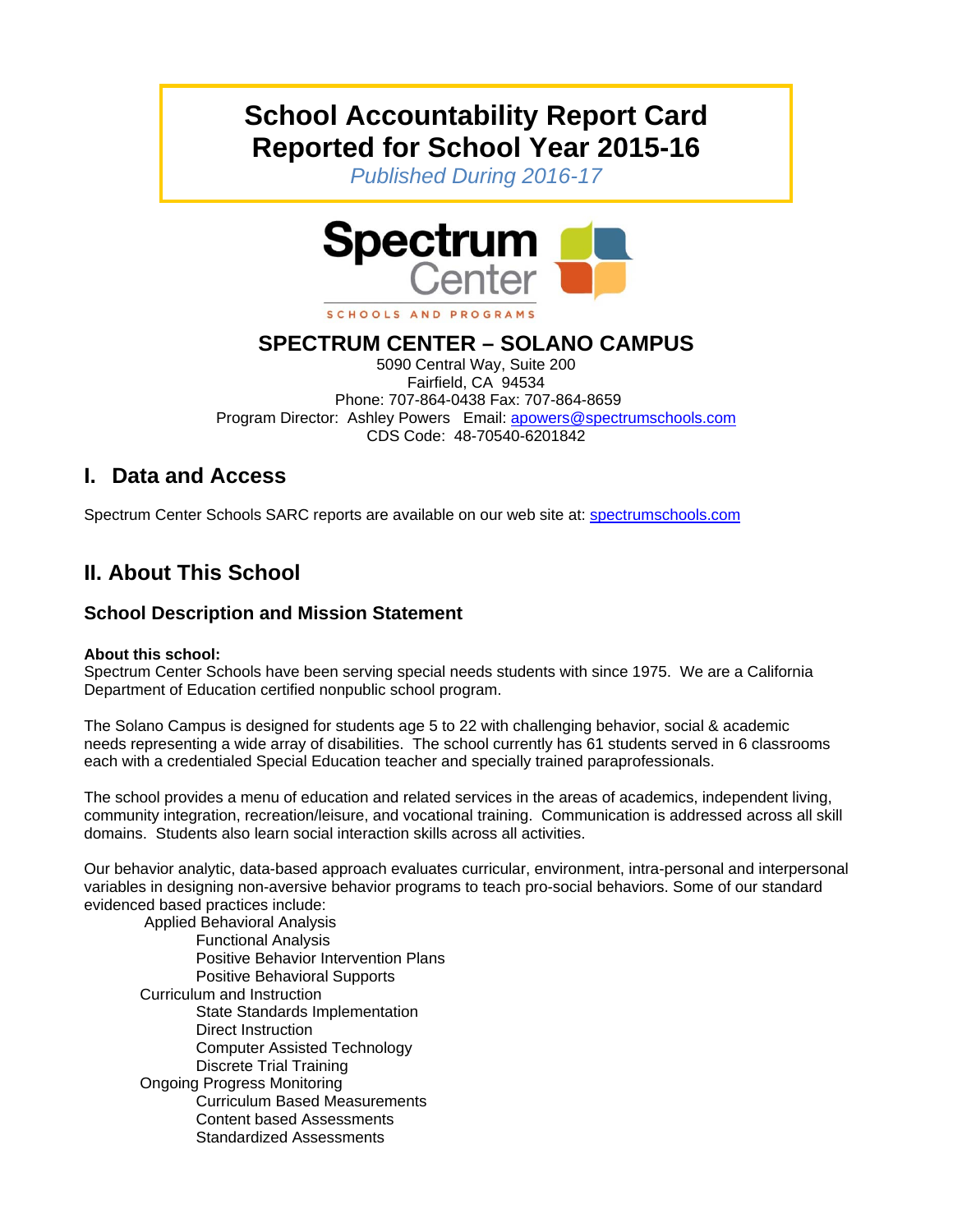# **School Accountability Report Card Reported for School Year 2015-16**

*Published During 2016-17* 



SCHOOLS AND PROGRAMS

# **SPECTRUM CENTER – SOLANO CAMPUS**

5090 Central Way, Suite 200 Fairfield, CA 94534 Phone: 707-864-0438 Fax: 707-864-8659 Program Director: Ashley Powers Email: apowers@spectrumschools.com CDS Code: 48-70540-6201842

# **I. Data and Access**

Spectrum Center Schools SARC reports are available on our web site at: spectrumschools.com

# **II. About This School**

## **School Description and Mission Statement**

#### **About this school:**

Spectrum Center Schools have been serving special needs students with since 1975. We are a California Department of Education certified nonpublic school program.

The Solano Campus is designed for students age 5 to 22 with challenging behavior, social & academic needs representing a wide array of disabilities. The school currently has 61 students served in 6 classrooms each with a credentialed Special Education teacher and specially trained paraprofessionals.

The school provides a menu of education and related services in the areas of academics, independent living, community integration, recreation/leisure, and vocational training. Communication is addressed across all skill domains. Students also learn social interaction skills across all activities.

Our behavior analytic, data-based approach evaluates curricular, environment, intra-personal and interpersonal variables in designing non-aversive behavior programs to teach pro-social behaviors. Some of our standard evidenced based practices include:

 Applied Behavioral Analysis Functional Analysis Positive Behavior Intervention Plans Positive Behavioral Supports Curriculum and Instruction State Standards Implementation Direct Instruction Computer Assisted Technology Discrete Trial Training Ongoing Progress Monitoring Curriculum Based Measurements Content based Assessments Standardized Assessments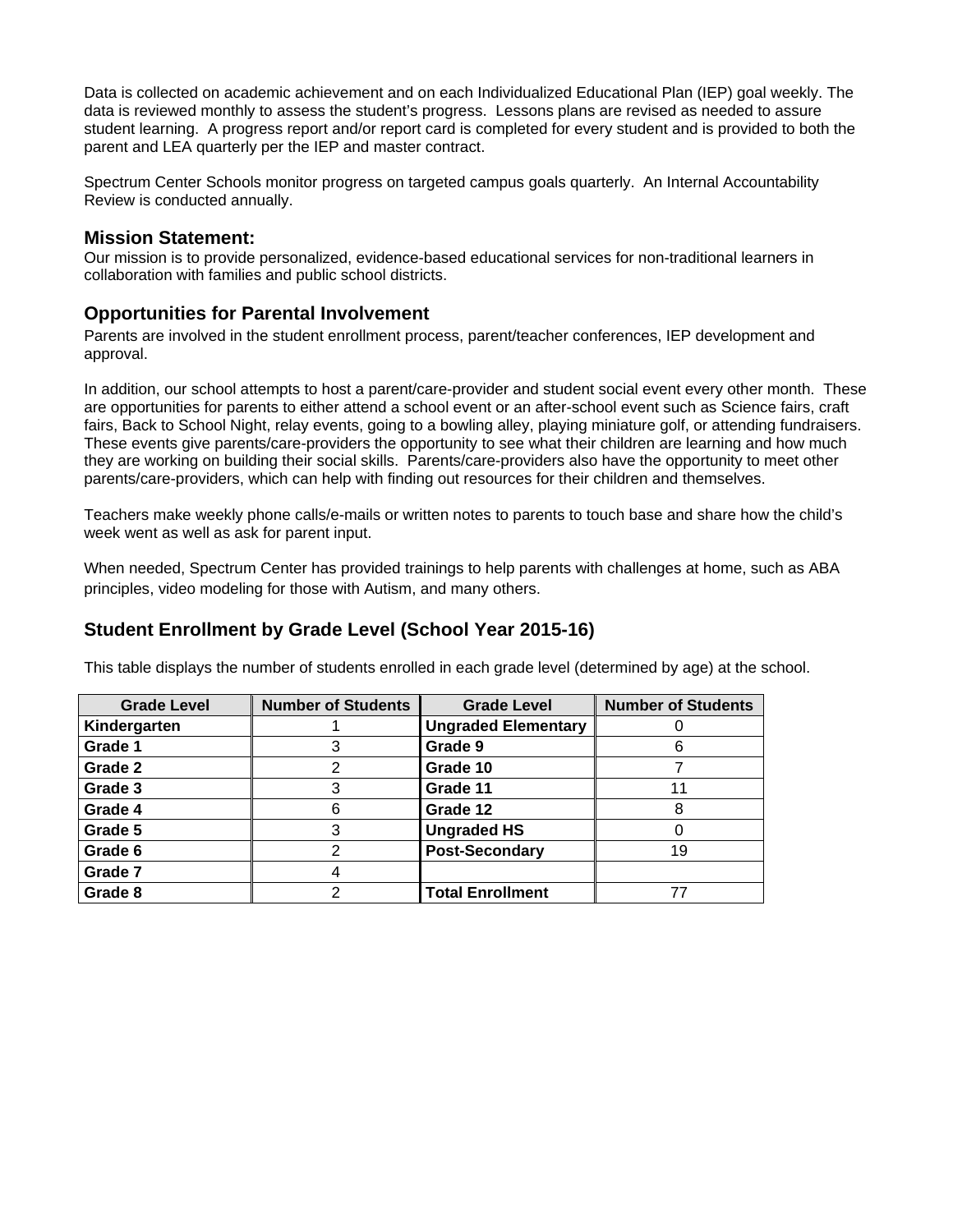Data is collected on academic achievement and on each Individualized Educational Plan (IEP) goal weekly. The data is reviewed monthly to assess the student's progress. Lessons plans are revised as needed to assure student learning. A progress report and/or report card is completed for every student and is provided to both the parent and LEA quarterly per the IEP and master contract.

Spectrum Center Schools monitor progress on targeted campus goals quarterly. An Internal Accountability Review is conducted annually.

**Mission Statement:**<br>Our mission is to provide personalized, evidence-based educational services for non-traditional learners in collaboration with families and public school districts.

#### **Opportunities for Parental Involvement**

Parents are involved in the student enrollment process, parent/teacher conferences, IEP development and approval.

In addition, our school attempts to host a parent/care-provider and student social event every other month. These are opportunities for parents to either attend a school event or an after-school event such as Science fairs, craft fairs, Back to School Night, relay events, going to a bowling alley, playing miniature golf, or attending fundraisers. These events give parents/care-providers the opportunity to see what their children are learning and how much they are working on building their social skills. Parents/care-providers also have the opportunity to meet other parents/care-providers, which can help with finding out resources for their children and themselves.

Teachers make weekly phone calls/e-mails or written notes to parents to touch base and share how the child's week went as well as ask for parent input.

When needed, Spectrum Center has provided trainings to help parents with challenges at home, such as ABA principles, video modeling for those with Autism, and many others.

#### **Student Enrollment by Grade Level (School Year 2015-16)**

This table displays the number of students enrolled in each grade level (determined by age) at the school.

| <b>Grade Level</b> | <b>Number of Students</b> | <b>Grade Level</b>         | <b>Number of Students</b> |
|--------------------|---------------------------|----------------------------|---------------------------|
| Kindergarten       |                           | <b>Ungraded Elementary</b> |                           |
| Grade 1            |                           | Grade 9                    |                           |
| Grade 2            | 2                         | Grade 10                   |                           |
| Grade 3            | 3                         | Grade 11                   | 11                        |
| Grade 4            | 6                         | Grade 12                   |                           |
| Grade 5            | 3                         | <b>Ungraded HS</b>         |                           |
| Grade 6            | 2                         | <b>Post-Secondary</b>      | 19                        |
| Grade 7            |                           |                            |                           |
| Grade 8            | 2                         | <b>Total Enrollment</b>    |                           |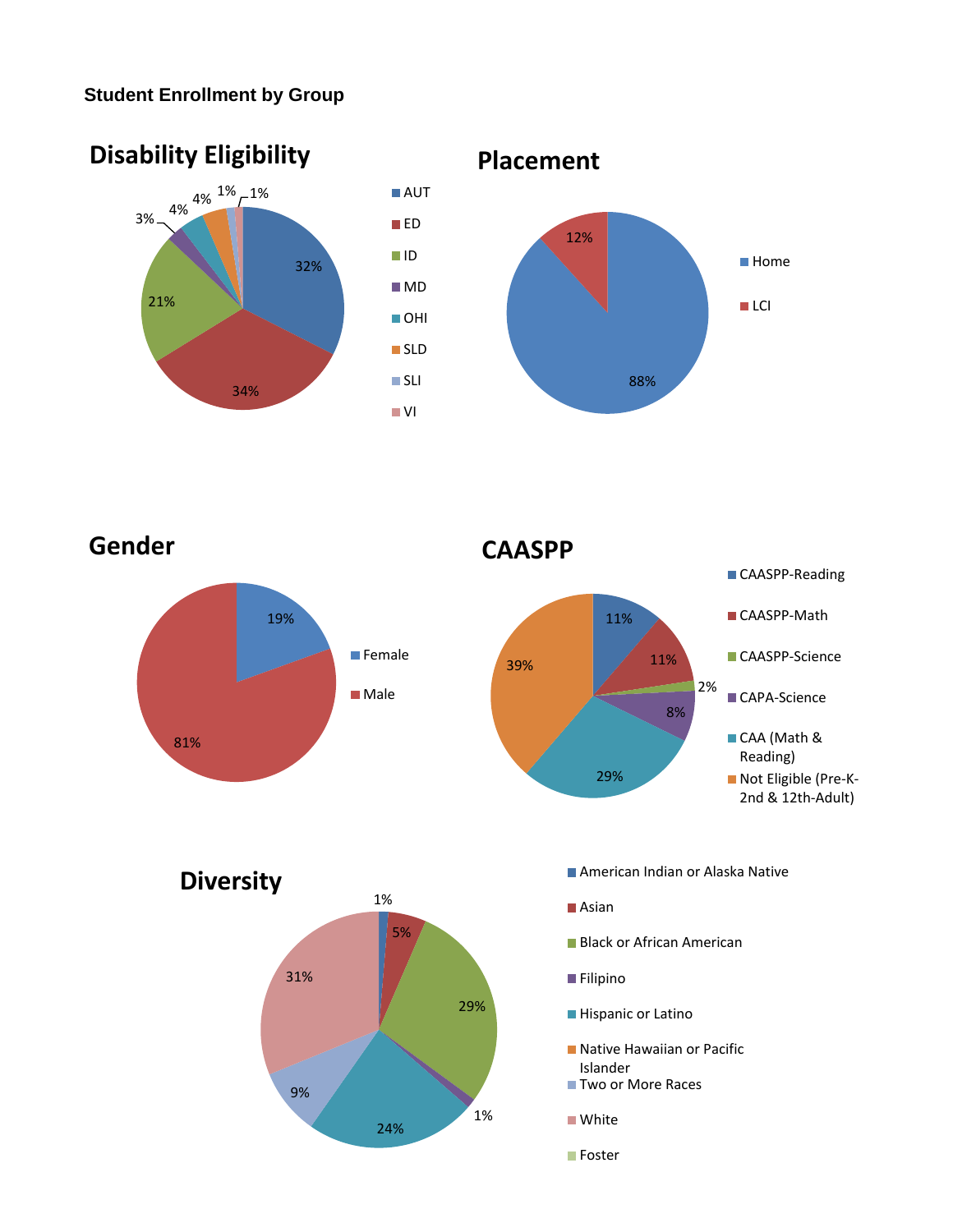# **Student Enrollment by Group**



19% 81% **Gender Female Male** 

**CAASPP**





- 
- Asian
- **Black or African American**
- **Filipino**
- **Hispanic or Latino**
- **Native Hawaiian or Pacific** Islander
- Two or More Races
- **White**
- **Foster**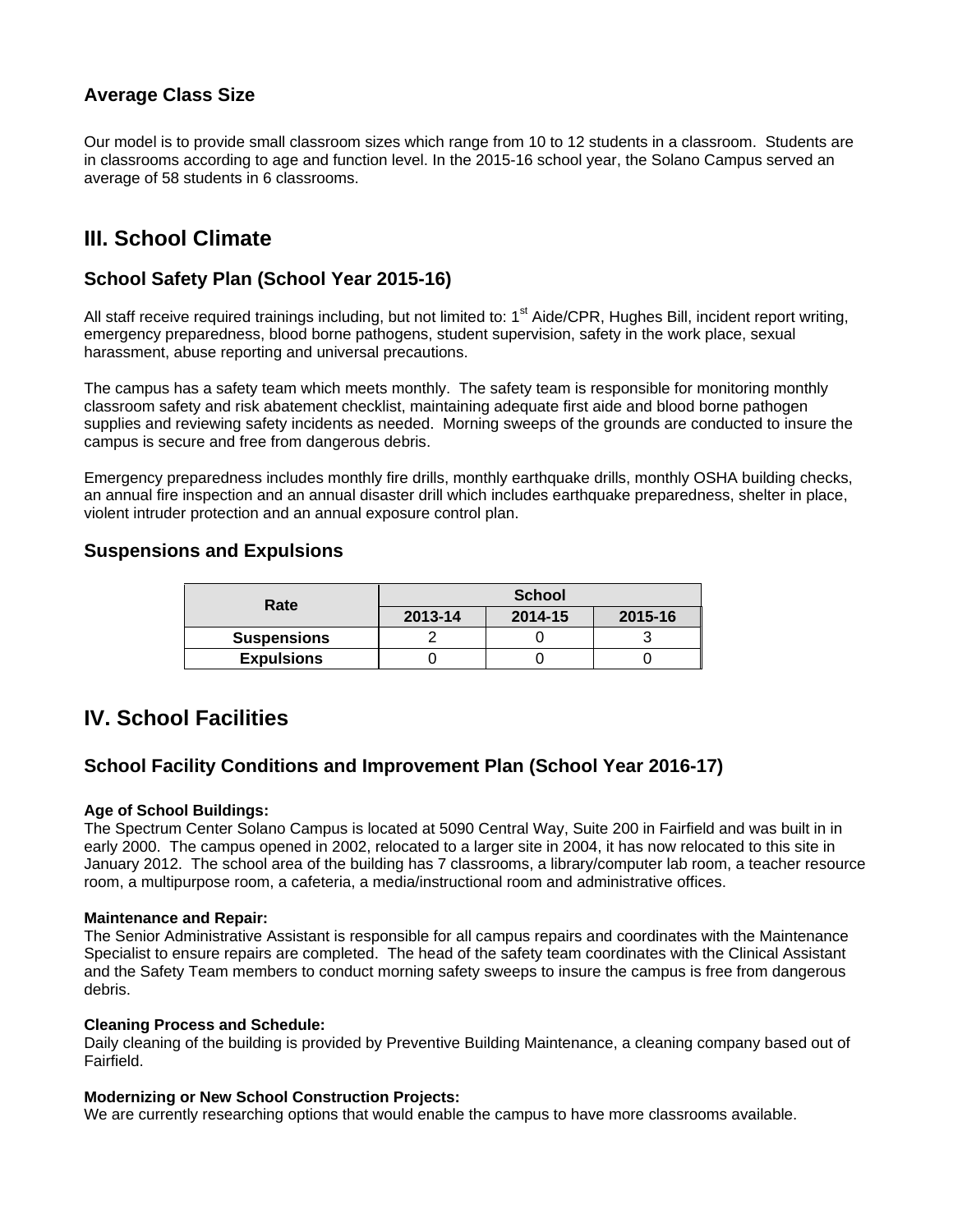### **Average Class Size**

Our model is to provide small classroom sizes which range from 10 to 12 students in a classroom. Students are in classrooms according to age and function level. In the 2015-16 school year, the Solano Campus served an average of 58 students in 6 classrooms.

# **III. School Climate**

### **School Safety Plan (School Year 2015-16)**

All staff receive required trainings including, but not limited to:  $1<sup>st</sup>$  Aide/CPR, Hughes Bill, incident report writing, emergency preparedness, blood borne pathogens, student supervision, safety in the work place, sexual harassment, abuse reporting and universal precautions.

The campus has a safety team which meets monthly. The safety team is responsible for monitoring monthly classroom safety and risk abatement checklist, maintaining adequate first aide and blood borne pathogen supplies and reviewing safety incidents as needed. Morning sweeps of the grounds are conducted to insure the campus is secure and free from dangerous debris.

Emergency preparedness includes monthly fire drills, monthly earthquake drills, monthly OSHA building checks, an annual fire inspection and an annual disaster drill which includes earthquake preparedness, shelter in place, violent intruder protection and an annual exposure control plan.

#### **Suspensions and Expulsions**

| Rate               | <b>School</b> |         |         |  |
|--------------------|---------------|---------|---------|--|
|                    | 2013-14       | 2014-15 | 2015-16 |  |
| <b>Suspensions</b> |               |         |         |  |
| <b>Expulsions</b>  |               |         |         |  |

# **IV. School Facilities**

#### **School Facility Conditions and Improvement Plan (School Year 2016-17)**

#### **Age of School Buildings:**

The Spectrum Center Solano Campus is located at 5090 Central Way, Suite 200 in Fairfield and was built in in early 2000. The campus opened in 2002, relocated to a larger site in 2004, it has now relocated to this site in January 2012. The school area of the building has 7 classrooms, a library/computer lab room, a teacher resource room, a multipurpose room, a cafeteria, a media/instructional room and administrative offices.

#### **Maintenance and Repair:**

The Senior Administrative Assistant is responsible for all campus repairs and coordinates with the Maintenance Specialist to ensure repairs are completed. The head of the safety team coordinates with the Clinical Assistant and the Safety Team members to conduct morning safety sweeps to insure the campus is free from dangerous debris.

#### **Cleaning Process and Schedule:**

Daily cleaning of the building is provided by Preventive Building Maintenance, a cleaning company based out of Fairfield.

#### **Modernizing or New School Construction Projects:**

We are currently researching options that would enable the campus to have more classrooms available.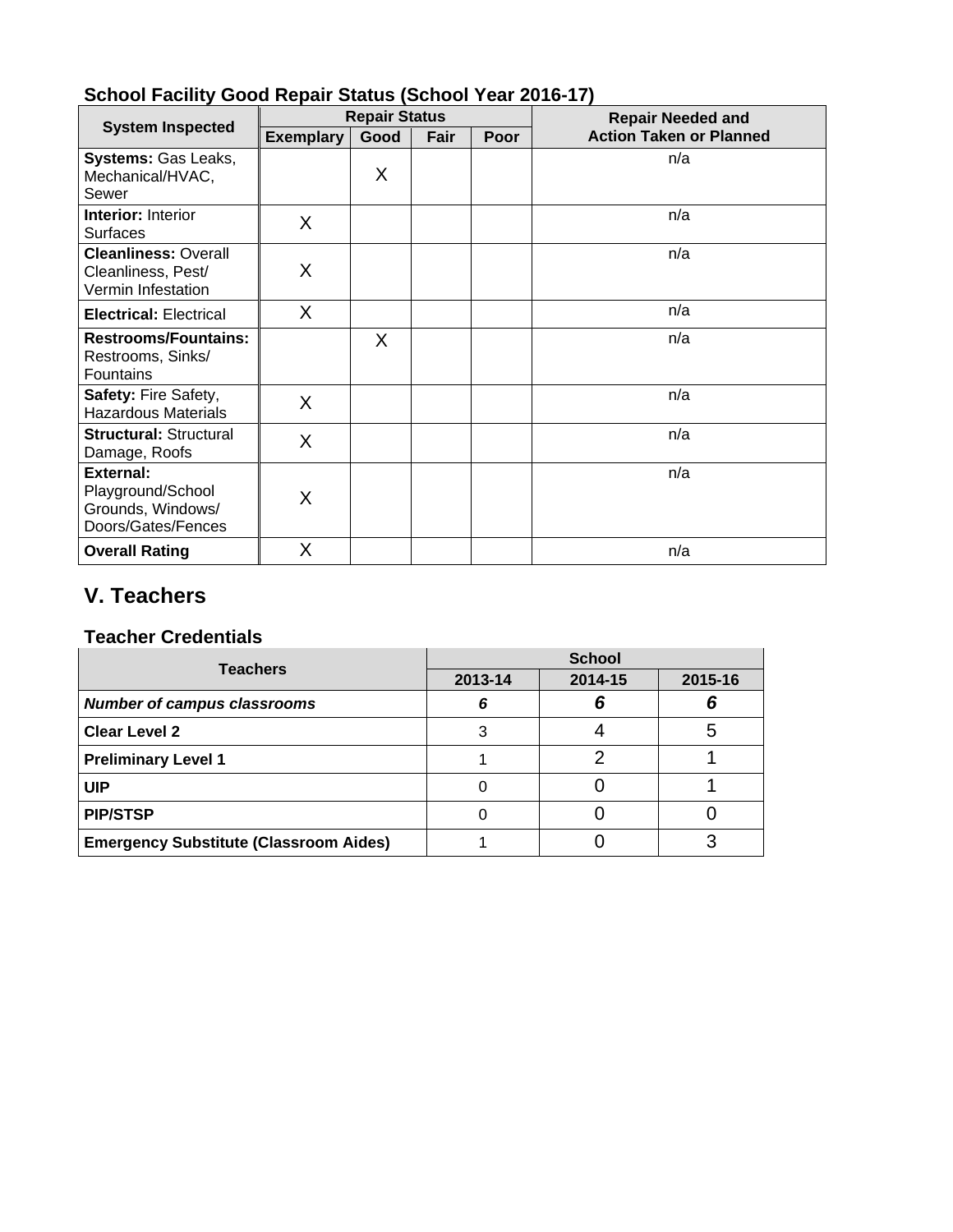|                                                                           | <b>Repair Status</b> |      | <b>Repair Needed and</b> |      |                                |
|---------------------------------------------------------------------------|----------------------|------|--------------------------|------|--------------------------------|
| <b>System Inspected</b>                                                   | <b>Exemplary</b>     | Good | Fair                     | Poor | <b>Action Taken or Planned</b> |
| <b>Systems: Gas Leaks,</b><br>Mechanical/HVAC,<br>Sewer                   |                      | Χ    |                          |      | n/a                            |
| <b>Interior: Interior</b><br><b>Surfaces</b>                              | X                    |      |                          |      | n/a                            |
| <b>Cleanliness: Overall</b><br>Cleanliness, Pest/<br>Vermin Infestation   | Χ                    |      |                          |      | n/a                            |
| <b>Electrical: Electrical</b>                                             | Χ                    |      |                          |      | n/a                            |
| <b>Restrooms/Fountains:</b><br>Restrooms, Sinks/<br>Fountains             |                      | χ    |                          |      | n/a                            |
| Safety: Fire Safety,<br><b>Hazardous Materials</b>                        | X                    |      |                          |      | n/a                            |
| <b>Structural: Structural</b><br>Damage, Roofs                            | X                    |      |                          |      | n/a                            |
| External:<br>Playground/School<br>Grounds, Windows/<br>Doors/Gates/Fences | Χ                    |      |                          |      | n/a                            |
| <b>Overall Rating</b>                                                     | X                    |      |                          |      | n/a                            |

# **School Facility Good Repair Status (School Year 2016-17)**

# **V. Teachers**

# **Teacher Credentials**

| <b>Teachers</b>                               | <b>School</b> |         |         |  |
|-----------------------------------------------|---------------|---------|---------|--|
|                                               | 2013-14       | 2014-15 | 2015-16 |  |
| <b>Number of campus classrooms</b>            | 6             |         |         |  |
| <b>Clear Level 2</b>                          | З             |         |         |  |
| <b>Preliminary Level 1</b>                    |               |         |         |  |
| <b>UIP</b>                                    |               |         |         |  |
| <b>PIP/STSP</b>                               |               |         |         |  |
| <b>Emergency Substitute (Classroom Aides)</b> |               |         |         |  |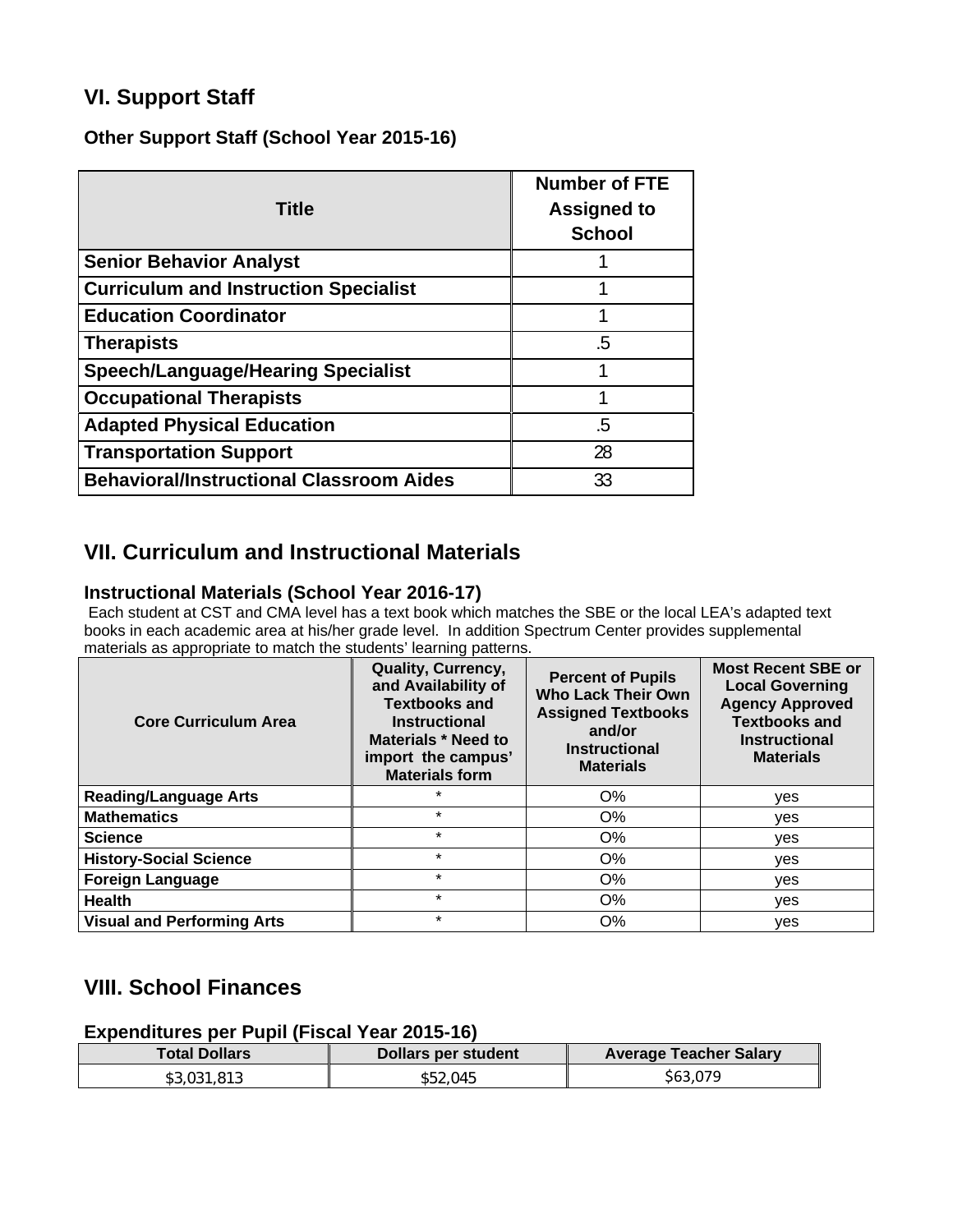# **VI. Support Staff**

**Other Support Staff (School Year 2015-16)** 

| <b>Title</b>                                    | <b>Number of FTE</b><br><b>Assigned to</b><br><b>School</b> |
|-------------------------------------------------|-------------------------------------------------------------|
| <b>Senior Behavior Analyst</b>                  |                                                             |
| <b>Curriculum and Instruction Specialist</b>    |                                                             |
| <b>Education Coordinator</b>                    |                                                             |
| <b>Therapists</b>                               | .5                                                          |
| <b>Speech/Language/Hearing Specialist</b>       |                                                             |
| <b>Occupational Therapists</b>                  |                                                             |
| <b>Adapted Physical Education</b>               | .5                                                          |
| <b>Transportation Support</b>                   | 28                                                          |
| <b>Behavioral/Instructional Classroom Aides</b> | 33                                                          |

# **VII. Curriculum and Instructional Materials**

### **Instructional Materials (School Year 2016-17)**

 Each student at CST and CMA level has a text book which matches the SBE or the local LEA's adapted text books in each academic area at his/her grade level. In addition Spectrum Center provides supplemental materials as appropriate to match the students' learning patterns.

| <b>Core Curriculum Area</b>       | Quality, Currency,<br>and Availability of<br><b>Textbooks and</b><br><b>Instructional</b><br><b>Materials * Need to</b><br>import the campus'<br><b>Materials form</b> | <b>Percent of Pupils</b><br><b>Who Lack Their Own</b><br><b>Assigned Textbooks</b><br>and/or<br><b>Instructional</b><br><b>Materials</b> | <b>Most Recent SBE or</b><br><b>Local Governing</b><br><b>Agency Approved</b><br><b>Textbooks and</b><br><b>Instructional</b><br><b>Materials</b> |
|-----------------------------------|------------------------------------------------------------------------------------------------------------------------------------------------------------------------|------------------------------------------------------------------------------------------------------------------------------------------|---------------------------------------------------------------------------------------------------------------------------------------------------|
| <b>Reading/Language Arts</b>      |                                                                                                                                                                        | $O\%$                                                                                                                                    | yes                                                                                                                                               |
| <b>Mathematics</b>                | $\star$                                                                                                                                                                | O%                                                                                                                                       | yes                                                                                                                                               |
| <b>Science</b>                    | $\star$                                                                                                                                                                | O%                                                                                                                                       | ves                                                                                                                                               |
| <b>History-Social Science</b>     | $\star$                                                                                                                                                                | O%                                                                                                                                       | yes                                                                                                                                               |
| <b>Foreign Language</b>           | $\star$                                                                                                                                                                | O%                                                                                                                                       | yes                                                                                                                                               |
| <b>Health</b>                     | $\star$                                                                                                                                                                | O%                                                                                                                                       | yes                                                                                                                                               |
| <b>Visual and Performing Arts</b> | $\star$                                                                                                                                                                | O%                                                                                                                                       | ves                                                                                                                                               |

# **VIII. School Finances**

**Expenditures per Pupil (Fiscal Year 2015-16)** 

| Total Dollars | Dollars per student | <b>Average Teacher Salary</b> |
|---------------|---------------------|-------------------------------|
| \$3,031,813   | \$52.045            | \$63,079                      |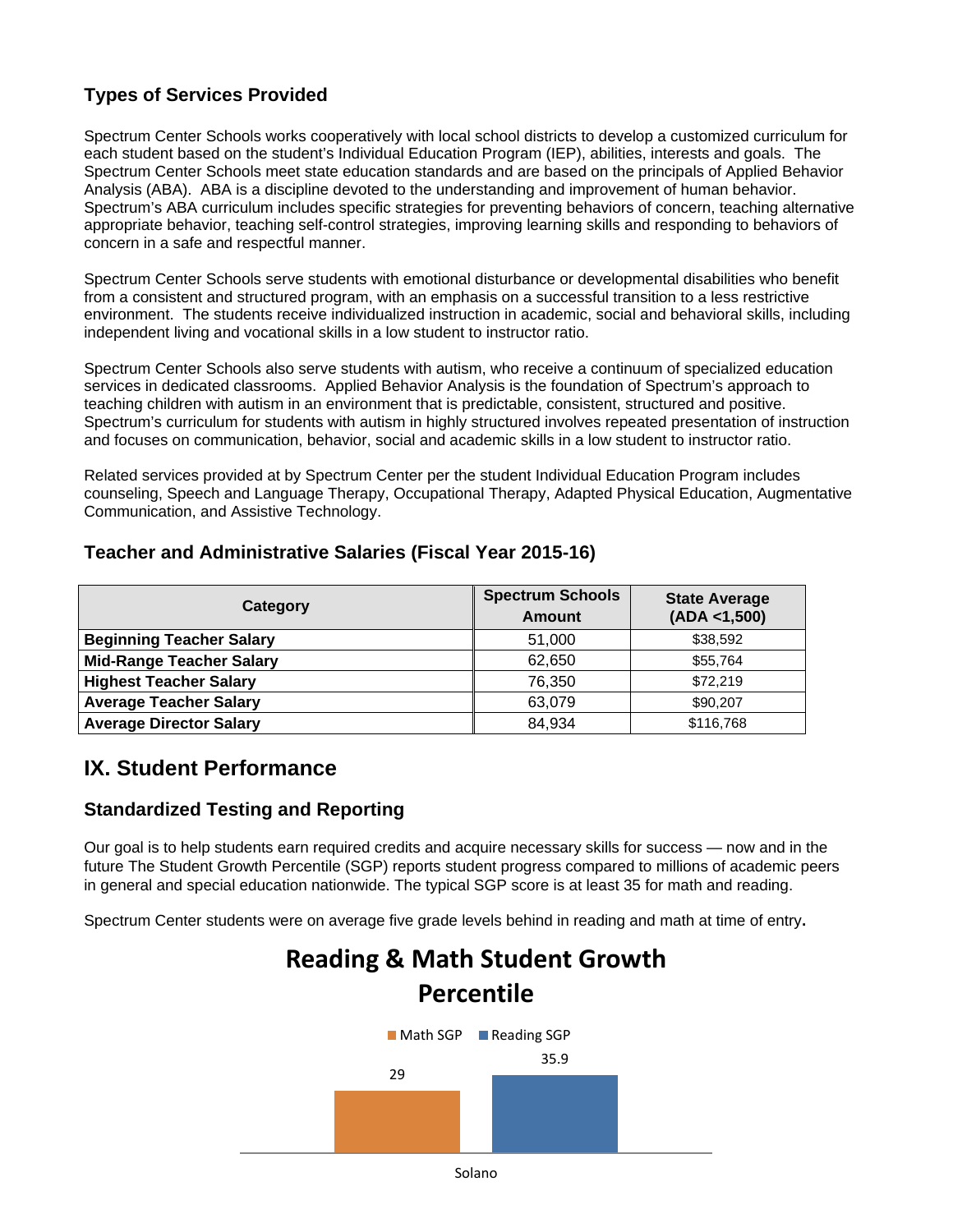# **Types of Services Provided**

Spectrum Center Schools works cooperatively with local school districts to develop a customized curriculum for each student based on the student's Individual Education Program (IEP), abilities, interests and goals. The Spectrum Center Schools meet state education standards and are based on the principals of Applied Behavior Analysis (ABA). ABA is a discipline devoted to the understanding and improvement of human behavior. Spectrum's ABA curriculum includes specific strategies for preventing behaviors of concern, teaching alternative appropriate behavior, teaching self-control strategies, improving learning skills and responding to behaviors of concern in a safe and respectful manner.

Spectrum Center Schools serve students with emotional disturbance or developmental disabilities who benefit from a consistent and structured program, with an emphasis on a successful transition to a less restrictive environment. The students receive individualized instruction in academic, social and behavioral skills, including independent living and vocational skills in a low student to instructor ratio.

Spectrum Center Schools also serve students with autism, who receive a continuum of specialized education services in dedicated classrooms. Applied Behavior Analysis is the foundation of Spectrum's approach to teaching children with autism in an environment that is predictable, consistent, structured and positive. Spectrum's curriculum for students with autism in highly structured involves repeated presentation of instruction and focuses on communication, behavior, social and academic skills in a low student to instructor ratio.

Related services provided at by Spectrum Center per the student Individual Education Program includes counseling, Speech and Language Therapy, Occupational Therapy, Adapted Physical Education, Augmentative Communication, and Assistive Technology.

### **Teacher and Administrative Salaries (Fiscal Year 2015-16)**

| Category                        | <b>Spectrum Schools</b><br>Amount | <b>State Average</b><br>(ADA < 1,500) |
|---------------------------------|-----------------------------------|---------------------------------------|
| <b>Beginning Teacher Salary</b> | 51,000                            | \$38,592                              |
| <b>Mid-Range Teacher Salary</b> | 62,650                            | \$55,764                              |
| <b>Highest Teacher Salary</b>   | 76,350                            | \$72.219                              |
| <b>Average Teacher Salary</b>   | 63,079                            | \$90,207                              |
| <b>Average Director Salary</b>  | 84,934                            | \$116,768                             |

# **IX. Student Performance**

### **Standardized Testing and Reporting**

Our goal is to help students earn required credits and acquire necessary skills for success — now and in the future The Student Growth Percentile (SGP) reports student progress compared to millions of academic peers in general and special education nationwide. The typical SGP score is at least 35 for math and reading.

Spectrum Center students were on average five grade levels behind in reading and math at time of entry**.**

# **Reading & Math Student Growth Percentile**

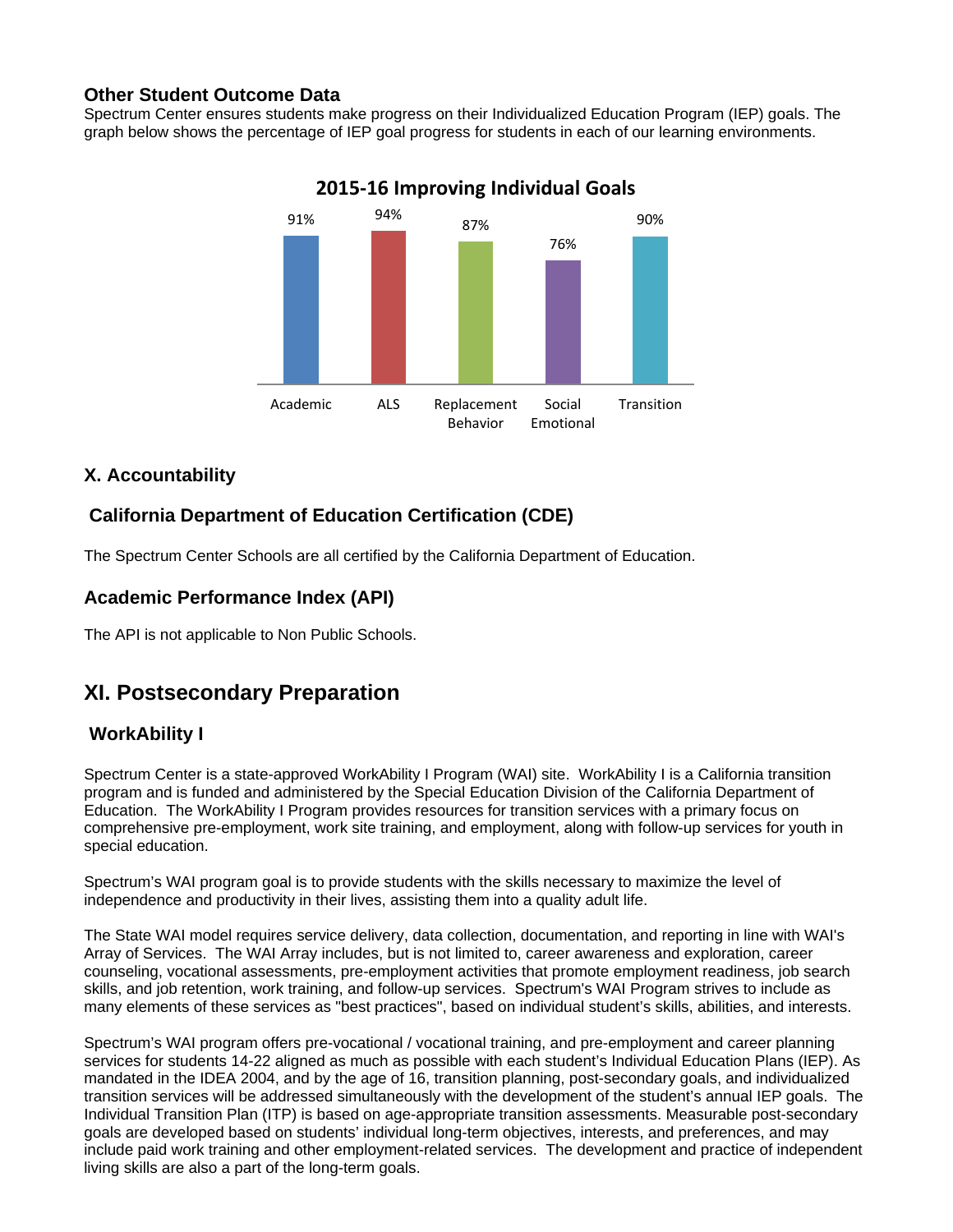### **Other Student Outcome Data**

Spectrum Center ensures students make progress on their Individualized Education Program (IEP) goals. The graph below shows the percentage of IEP goal progress for students in each of our learning environments.



# **2015‐16 Improving Individual Goals**

### **X. Accountability**

# **California Department of Education Certification (CDE)**

The Spectrum Center Schools are all certified by the California Department of Education.

# **Academic Performance Index (API)**

The API is not applicable to Non Public Schools.

# **XI. Postsecondary Preparation**

### **WorkAbility I**

Spectrum Center is a state-approved WorkAbility I Program (WAI) site. WorkAbility I is a California transition program and is funded and administered by the Special Education Division of the California Department of Education. The WorkAbility I Program provides resources for transition services with a primary focus on comprehensive pre-employment, work site training, and employment, along with follow-up services for youth in special education.

Spectrum's WAI program goal is to provide students with the skills necessary to maximize the level of independence and productivity in their lives, assisting them into a quality adult life.

The State WAI model requires service delivery, data collection, documentation, and reporting in line with WAI's Array of Services. The WAI Array includes, but is not limited to, career awareness and exploration, career counseling, vocational assessments, pre-employment activities that promote employment readiness, job search skills, and job retention, work training, and follow-up services. Spectrum's WAI Program strives to include as many elements of these services as "best practices", based on individual student's skills, abilities, and interests.

Spectrum's WAI program offers pre-vocational / vocational training, and pre-employment and career planning services for students 14-22 aligned as much as possible with each student's Individual Education Plans (IEP). As mandated in the IDEA 2004, and by the age of 16, transition planning, post-secondary goals, and individualized transition services will be addressed simultaneously with the development of the student's annual IEP goals. The Individual Transition Plan (ITP) is based on age-appropriate transition assessments. Measurable post-secondary goals are developed based on students' individual long-term objectives, interests, and preferences, and may include paid work training and other employment-related services. The development and practice of independent living skills are also a part of the long-term goals.